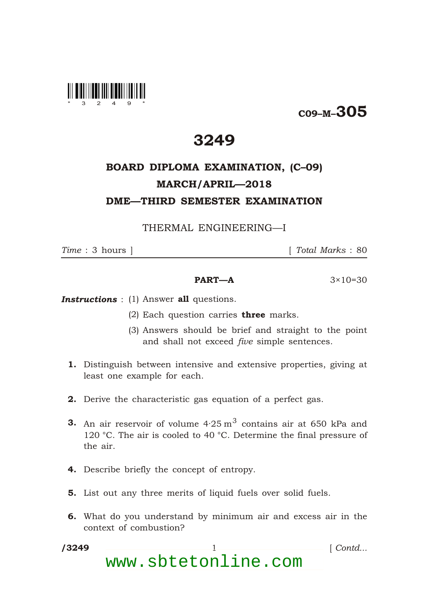

C09–M–305

## 3249

## BOARD DIPLOMA EXAMINATION, (C–09) MARCH/APRIL—2018 DME—THIRD SEMESTER EXAMINATION

THERMAL ENGINEERING—I

\*

*Time* : 3 hours ] [ *Total Marks* : 80

## **PART—A**  $3 \times 10 = 30$

**Instructions** : (1) Answer all questions.

- (2) Each question carries **three** marks.
- (3) Answers should be brief and straight to the point and shall not exceed *five* simple sentences.
- 1. Distinguish between intensive and extensive properties, giving at least one example for each.
- 2. Derive the characteristic gas equation of a perfect gas.
- **3.** An air reservoir of volume  $4.25\,\mathrm{m}^3$  contains air at 650 kPa and 120 °C. The air is cooled to 40 °C. Determine the final pressure of the air.
- 4. Describe briefly the concept of entropy.
- 5. List out any three merits of liquid fuels over solid fuels.
- 6. What do you understand by minimum air and excess air in the context of combustion?
- /3249 1 *Contd...* www.sbtetonline.com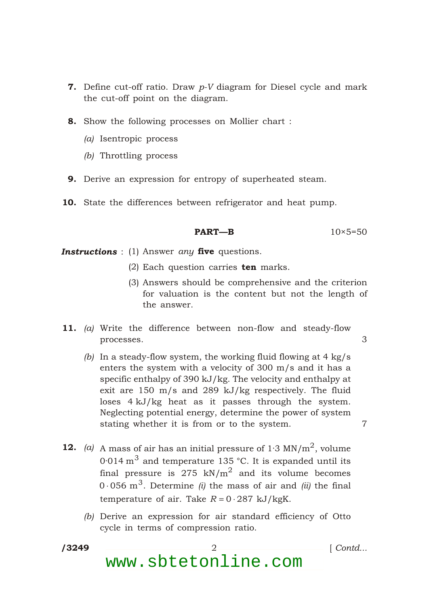- **7.** Define cut-off ratio. Draw  $p$ -V diagram for Diesel cycle and mark the cut-off point on the diagram.
- 8. Show the following processes on Mollier chart :
	- *(a)* Isentropic process
	- *(b)* Throttling process
- 9. Derive an expression for entropy of superheated steam.
- 10. State the differences between refrigerator and heat pump.

$$
PART-B \t\t 10 \times 5=50
$$

**Instructions** : (1) Answer *any* five questions.

- (2) Each question carries  $ten$  marks.
- (3) Answers should be comprehensive and the criterion for valuation is the content but not the length of the answer.
- 11. *(a)* Write the difference between non-flow and steady-flow processes. 3
	- *(b)* In a steady-flow system, the working fluid flowing at 4 kg/s enters the system with a velocity of 300 m/s and it has a specific enthalpy of 390 kJ/kg. The velocity and enthalpy at exit are 150 m/s and 289 kJ/kg respectively. The fluid loses 4 kJ/kg heat as it passes through the system. Neglecting potential energy, determine the power of system stating whether it is from or to the system.  $\frac{7}{4}$
- **12.** (a) A mass of air has an initial pressure of  $1.3 \text{ MN/m}^2$ , volume 0<sup>.</sup>014  $\mathrm{m}^{3}$  and temperature 135 °C. It is expanded until its final pressure is 275 kN/m $^2$  and its volume becomes 0 056  $\mathrm{m}^{3}$ . Determine *(i)* the mass of air and *(ii)* the final temperature of air. Take *R* 0 287 kJ/kgK.
	- *(b)* Derive an expression for air standard efficiency of Otto cycle in terms of compression ratio.
- /3249

\*

/3249 2 [ *Contd...*

www.sbtetonline.com